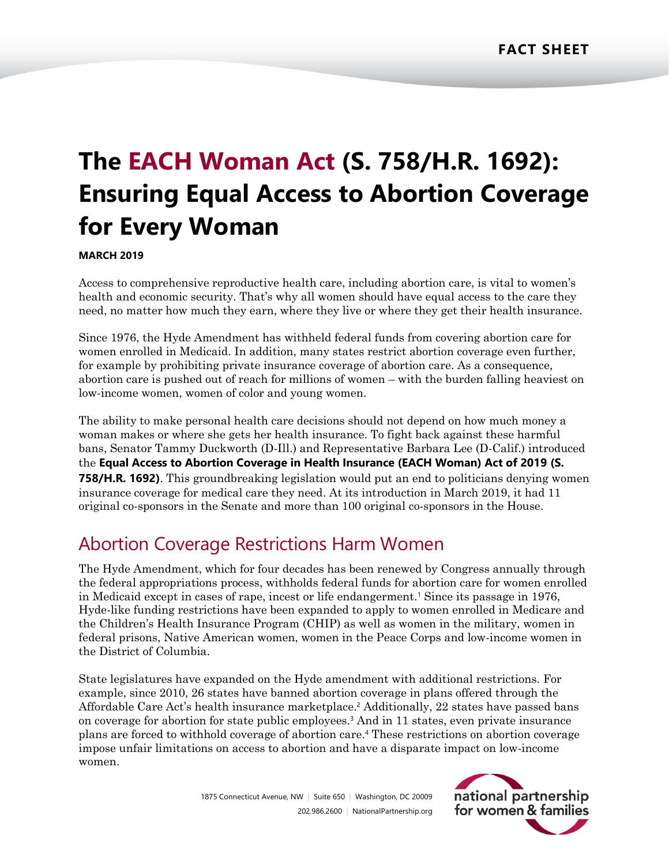# **The EACH Woman Act (S. 758/H.R. 1692): Ensuring Equal Access to Abortion Coverage for Every Woman**

### **MARCH 2019**

Access to comprehensive reproductive health care, including abortion care, is vital to women's health and economic security. That's why all women should have equal access to the care they need, no matter how much they earn, where they live or where they get their health insurance.

Since 1976, the Hyde Amendment has withheld federal funds from covering abortion care for women enrolled in Medicaid. In addition, many states restrict abortion coverage even further, for example by prohibiting private insurance coverage of abortion care. As a consequence, abortion care is pushed out of reach for millions of women – with the burden falling heaviest on low-income women, women of color and young women.

The ability to make personal health care decisions should not depend on how much money a woman makes or where she gets her health insurance. To fight back against these harmful bans, Senator Tammy Duckworth (D-Ill.) and Representative Barbara Lee (D-Calif.) introduced the **Equal Access to Abortion Coverage in Health Insurance (EACH Woman) Act of 2019 (S. 758/H.R. 1692)**. This groundbreaking legislation would put an end to politicians denying women insurance coverage for medical care they need. At its introduction in March 2019, it had 11 original co-sponsors in the Senate and more than 100 original co-sponsors in the House.

## Abortion Coverage Restrictions Harm Women

The Hyde Amendment, which for four decades has been renewed by Congress annually through the federal appropriations process, withholds federal funds for abortion care for women enrolled in Medicaid except in cases of rape, incest or life endangerment.<sup>1</sup> Since its passage in 1976, Hyde-like funding restrictions have been expanded to apply to women enrolled in Medicare and the Children's Health Insurance Program (CHIP) as well as women in the military, women in federal prisons, Native American women, women in the Peace Corps and low-income women in the District of Columbia.

State legislatures have expanded on the Hyde amendment with additional restrictions. For example, since 2010, 26 states have banned abortion coverage in plans offered through the Affordable Care Act's health insurance marketplace. <sup>2</sup> Additionally, 22 states have passed bans on coverage for abortion for state public employees.<sup>3</sup> And in 11 states, even private insurance plans are forced to withhold coverage of abortion care. <sup>4</sup> These restrictions on abortion coverage impose unfair limitations on access to abortion and have a disparate impact on low-income women.

> 1875 Connecticut Avenue, NW | Suite 650 | Washington, DC 20009 202.986.2600 | [NationalPartnership.org](http://www.nationalpartnership.org/)